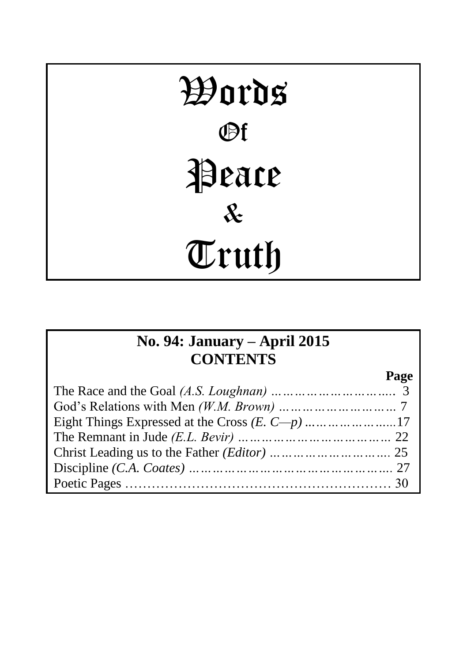# Words Of Peace & Truth

## **No. 94: January – April 2015 CONTENTS**

**Page**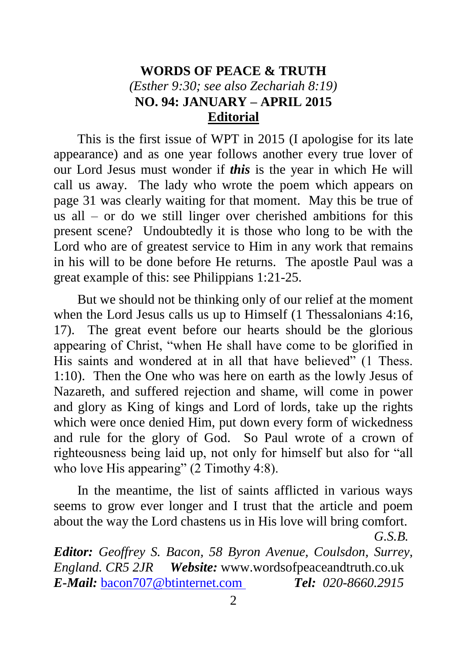## **WORDS OF PEACE & TRUTH** *(Esther 9:30; see also Zechariah 8:19)* **NO. 94: JANUARY – APRIL 2015 Editorial**

This is the first issue of WPT in 2015 (I apologise for its late appearance) and as one year follows another every true lover of our Lord Jesus must wonder if *this* is the year in which He will call us away. The lady who wrote the poem which appears on page 31 was clearly waiting for that moment. May this be true of us all – or do we still linger over cherished ambitions for this present scene? Undoubtedly it is those who long to be with the Lord who are of greatest service to Him in any work that remains in his will to be done before He returns. The apostle Paul was a great example of this: see Philippians 1:21-25.

But we should not be thinking only of our relief at the moment when the Lord Jesus calls us up to Himself (1 Thessalonians 4:16, 17). The great event before our hearts should be the glorious appearing of Christ, "when He shall have come to be glorified in His saints and wondered at in all that have believed" (1 Thess. 1:10). Then the One who was here on earth as the lowly Jesus of Nazareth, and suffered rejection and shame, will come in power and glory as King of kings and Lord of lords, take up the rights which were once denied Him, put down every form of wickedness and rule for the glory of God. So Paul wrote of a crown of righteousness being laid up, not only for himself but also for "all who love His appearing" (2 Timothy 4:8).

In the meantime, the list of saints afflicted in various ways seems to grow ever longer and I trust that the article and poem about the way the Lord chastens us in His love will bring comfort.

*G.S.B.*

*Editor: Geoffrey S. Bacon, 58 Byron Avenue, Coulsdon, Surrey, England. CR5 2JR Website:* www.wordsofpeaceandtruth.co.uk *E-Mail:* [bacon707@btinternet.com](mailto:bacon707@btinternet.com) *Tel: 020-8660.2915*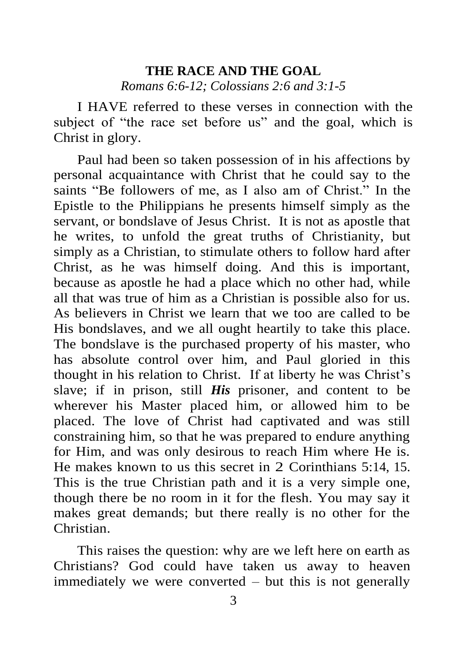## **THE RACE AND THE GOAL** *Romans 6:6-12; Colossians 2:6 and 3:1-5*

I HAVE referred to these verses in connection with the subject of "the race set before us" and the goal, which is Christ in glory.

Paul had been so taken possession of in his affections by personal acquaintance with Christ that he could say to the saints "Be followers of me, as I also am of Christ." In the Epistle to the Philippians he presents himself simply as the servant, or bondslave of Jesus Christ. It is not as apostle that he writes, to unfold the great truths of Christianity, but simply as a Christian, to stimulate others to follow hard after Christ, as he was himself doing. And this is important, because as apostle he had a place which no other had, while all that was true of him as a Christian is possible also for us. As believers in Christ we learn that we too are called to be His bondslaves, and we all ought heartily to take this place. The bondslave is the purchased property of his master, who has absolute control over him, and Paul gloried in this thought in his relation to Christ. If at liberty he was Christ's slave; if in prison, still *His* prisoner, and content to be wherever his Master placed him, or allowed him to be placed. The love of Christ had captivated and was still constraining him, so that he was prepared to endure anything for Him, and was only desirous to reach Him where He is. He makes known to us this secret in 2 Corinthians 5:14, 15. This is the true Christian path and it is a very simple one, though there be no room in it for the flesh. You may say it makes great demands; but there really is no other for the Christian.

This raises the question: why are we left here on earth as Christians? God could have taken us away to heaven immediately we were converted – but this is not generally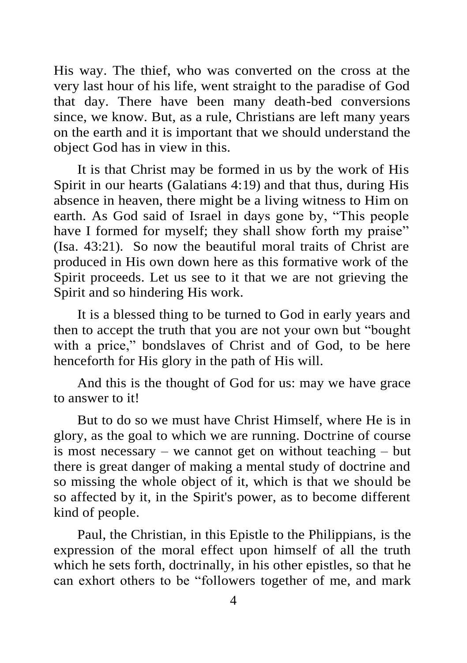His way. The thief, who was converted on the cross at the very last hour of his life, went straight to the paradise of God that day. There have been many death-bed conversions since, we know. But, as a rule, Christians are left many years on the earth and it is important that we should understand the object God has in view in this.

It is that Christ may be formed in us by the work of His Spirit in our hearts (Galatians 4:19) and that thus, during His absence in heaven, there might be a living witness to Him on earth. As God said of Israel in days gone by, "This people have I formed for myself; they shall show forth my praise" (Isa. 43:21). So now the beautiful moral traits of Christ are produced in His own down here as this formative work of the Spirit proceeds. Let us see to it that we are not grieving the Spirit and so hindering His work.

It is a blessed thing to be turned to God in early years and then to accept the truth that you are not your own but "bought with a price," bondslaves of Christ and of God, to be here henceforth for His glory in the path of His will.

And this is the thought of God for us: may we have grace to answer to it!

But to do so we must have Christ Himself, where He is in glory, as the goal to which we are running. Doctrine of course is most necessary – we cannot get on without teaching – but there is great danger of making a mental study of doctrine and so missing the whole object of it, which is that we should be so affected by it, in the Spirit's power, as to become different kind of people.

Paul, the Christian, in this Epistle to the Philippians, is the expression of the moral effect upon himself of all the truth which he sets forth, doctrinally, in his other epistles, so that he can exhort others to be "followers together of me, and mark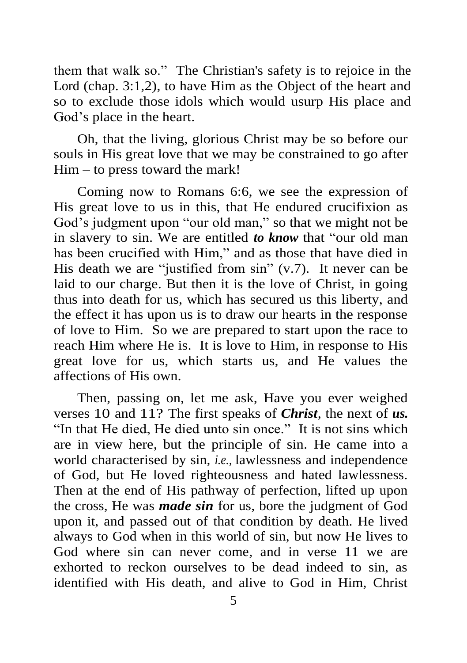them that walk so." The Christian's safety is to rejoice in the Lord (chap. 3:1,2), to have Him as the Object of the heart and so to exclude those idols which would usurp His place and God's place in the heart.

Oh, that the living, glorious Christ may be so before our souls in His great love that we may be constrained to go after Him – to press toward the mark!

Coming now to Romans 6:6, we see the expression of His great love to us in this, that He endured crucifixion as God's judgment upon "our old man," so that we might not be in slavery to sin. We are entitled *to know* that "our old man has been crucified with Him," and as those that have died in His death we are "justified from sin" (v.7). It never can be laid to our charge. But then it is the love of Christ, in going thus into death for us, which has secured us this liberty, and the effect it has upon us is to draw our hearts in the response of love to Him. So we are prepared to start upon the race to reach Him where He is. It is love to Him, in response to His great love for us, which starts us, and He values the affections of His own.

Then, passing on, let me ask, Have you ever weighed verses 10 and 11? The first speaks of *Christ*, the next of *us.* "In that He died, He died unto sin once." It is not sins which are in view here, but the principle of sin. He came into a world characterised by sin, *i.e.,* lawlessness and independence of God, but He loved righteousness and hated lawlessness. Then at the end of His pathway of perfection, lifted up upon the cross, He was *made sin* for us, bore the judgment of God upon it, and passed out of that condition by death. He lived always to God when in this world of sin, but now He lives to God where sin can never come, and in verse 11 we are exhorted to reckon ourselves to be dead indeed to sin, as identified with His death, and alive to God in Him, Christ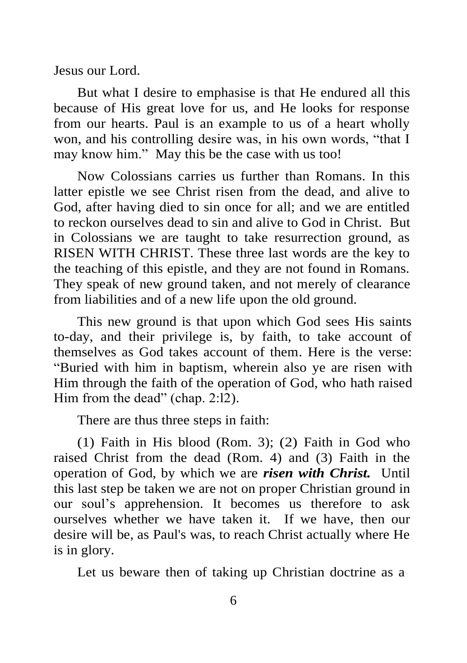Jesus our Lord.

But what I desire to emphasise is that He endured all this because of His great love for us, and He looks for response from our hearts. Paul is an example to us of a heart wholly won, and his controlling desire was, in his own words, "that I may know him." May this be the case with us too!

Now Colossians carries us further than Romans. In this latter epistle we see Christ risen from the dead, and alive to God, after having died to sin once for all; and we are entitled to reckon ourselves dead to sin and alive to God in Christ. But in Colossians we are taught to take resurrection ground, as RISEN WITH CHRIST. These three last words are the key to the teaching of this epistle, and they are not found in Romans. They speak of new ground taken, and not merely of clearance from liabilities and of a new life upon the old ground.

This new ground is that upon which God sees His saints to-day, and their privilege is, by faith, to take account of themselves as God takes account of them. Here is the verse: "Buried with him in baptism, wherein also ye are risen with Him through the faith of the operation of God, who hath raised Him from the dead" (chap. 2:12).

There are thus three steps in faith:

(1) Faith in His blood (Rom. 3); (2) Faith in God who raised Christ from the dead (Rom. 4) and (3) Faith in the operation of God, by which we are *risen with Christ.* Until this last step be taken we are not on proper Christian ground in our soul's apprehension. It becomes us therefore to ask ourselves whether we have taken it. If we have, then our desire will be, as Paul's was, to reach Christ actually where He is in glory.

Let us beware then of taking up Christian doctrine as a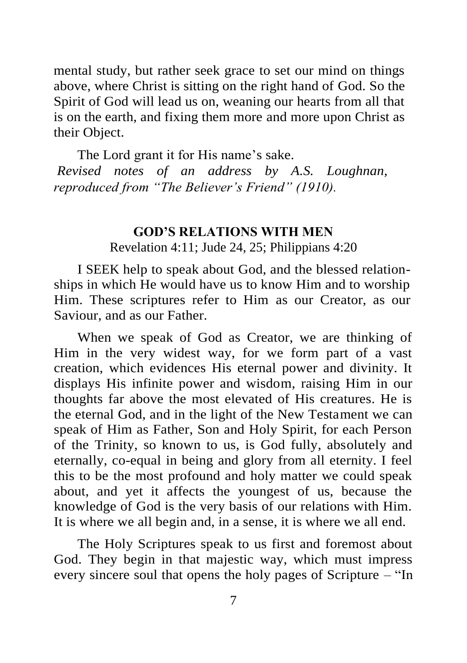mental study, but rather seek grace to set our mind on things above, where Christ is sitting on the right hand of God. So the Spirit of God will lead us on, weaning our hearts from all that is on the earth, and fixing them more and more upon Christ as their Object.

The Lord grant it for His name's sake. *Revised notes of an address by A.S. Loughnan, reproduced from "The Believer's Friend" (1910).*

#### **GOD'S RELATIONS WITH MEN**

Revelation 4:11; Jude 24, 25; Philippians 4:20

I SEEK help to speak about God, and the blessed relationships in which He would have us to know Him and to worship Him. These scriptures refer to Him as our Creator, as our Saviour, and as our Father.

When we speak of God as Creator, we are thinking of Him in the very widest way, for we form part of a vast creation, which evidences His eternal power and divinity. It displays His infinite power and wisdom, raising Him in our thoughts far above the most elevated of His creatures. He is the eternal God, and in the light of the New Testament we can speak of Him as Father, Son and Holy Spirit, for each Person of the Trinity, so known to us, is God fully, absolutely and eternally, co-equal in being and glory from all eternity. I feel this to be the most profound and holy matter we could speak about, and yet it affects the youngest of us, because the knowledge of God is the very basis of our relations with Him. It is where we all begin and, in a sense, it is where we all end.

The Holy Scriptures speak to us first and foremost about God. They begin in that majestic way, which must impress every sincere soul that opens the holy pages of Scripture – "In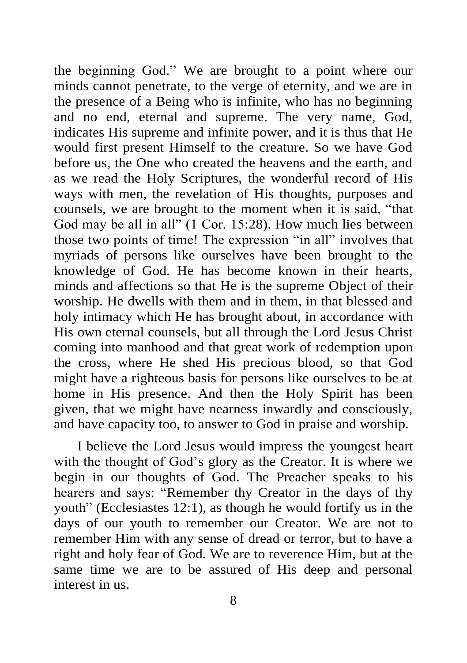the beginning God." We are brought to a point where our minds cannot penetrate, to the verge of eternity, and we are in the presence of a Being who is infinite, who has no beginning and no end, eternal and supreme. The very name, God, indicates His supreme and infinite power, and it is thus that He would first present Himself to the creature. So we have God before us, the One who created the heavens and the earth, and as we read the Holy Scriptures, the wonderful record of His ways with men, the revelation of His thoughts, purposes and counsels, we are brought to the moment when it is said, "that God may be all in all" (1 Cor. 15:28). How much lies between those two points of time! The expression "in all" involves that myriads of persons like ourselves have been brought to the knowledge of God. He has become known in their hearts, minds and affections so that He is the supreme Object of their worship. He dwells with them and in them, in that blessed and holy intimacy which He has brought about, in accordance with His own eternal counsels, but all through the Lord Jesus Christ coming into manhood and that great work of redemption upon the cross, where He shed His precious blood, so that God might have a righteous basis for persons like ourselves to be at home in His presence. And then the Holy Spirit has been given, that we might have nearness inwardly and consciously, and have capacity too, to answer to God in praise and worship.

I believe the Lord Jesus would impress the youngest heart with the thought of God's glory as the Creator. It is where we begin in our thoughts of God. The Preacher speaks to his hearers and says: "Remember thy Creator in the days of thy youth" (Ecclesiastes 12:1), as though he would fortify us in the days of our youth to remember our Creator. We are not to remember Him with any sense of dread or terror, but to have a right and holy fear of God. We are to reverence Him, but at the same time we are to be assured of His deep and personal interest in us.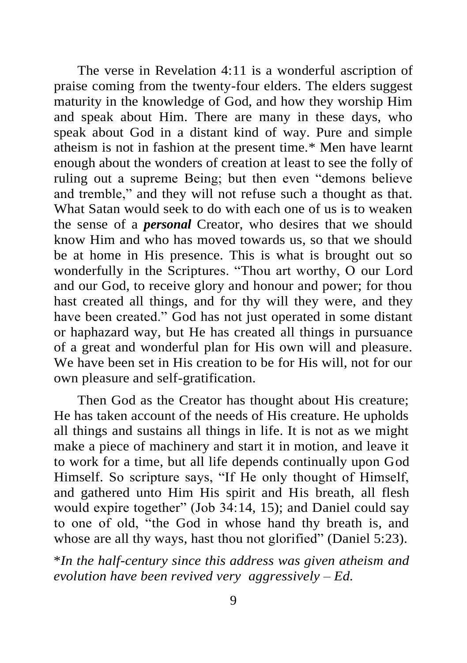The verse in Revelation 4:11 is a wonderful ascription of praise coming from the twenty-four elders. The elders suggest maturity in the knowledge of God, and how they worship Him and speak about Him. There are many in these days, who speak about God in a distant kind of way. Pure and simple atheism is not in fashion at the present time.\* Men have learnt enough about the wonders of creation at least to see the folly of ruling out a supreme Being; but then even "demons believe and tremble," and they will not refuse such a thought as that. What Satan would seek to do with each one of us is to weaken the sense of a *personal* Creator, who desires that we should know Him and who has moved towards us, so that we should be at home in His presence. This is what is brought out so wonderfully in the Scriptures. "Thou art worthy, O our Lord and our God, to receive glory and honour and power; for thou hast created all things, and for thy will they were, and they have been created." God has not just operated in some distant or haphazard way, but He has created all things in pursuance of a great and wonderful plan for His own will and pleasure. We have been set in His creation to be for His will, not for our own pleasure and self-gratification.

Then God as the Creator has thought about His creature; He has taken account of the needs of His creature. He upholds all things and sustains all things in life. It is not as we might make a piece of machinery and start it in motion, and leave it to work for a time, but all life depends continually upon God Himself. So scripture says, "If He only thought of Himself, and gathered unto Him His spirit and His breath, all flesh would expire together" (Job 34:14, 15); and Daniel could say to one of old, "the God in whose hand thy breath is, and whose are all thy ways, hast thou not glorified" (Daniel 5:23).

\**In the half-century since this address was given atheism and evolution have been revived very aggressively – Ed.*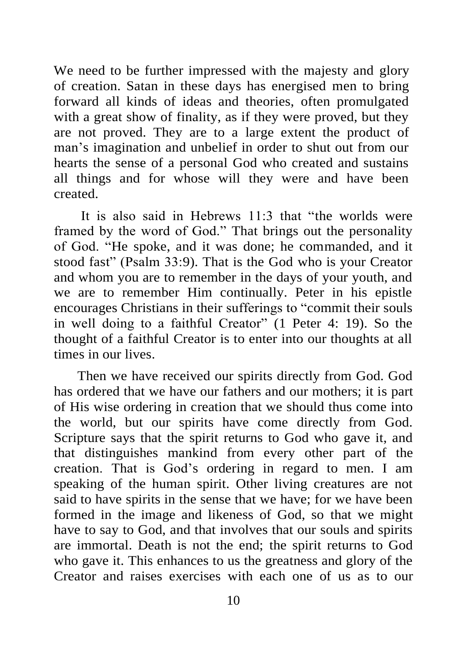We need to be further impressed with the majesty and glory of creation. Satan in these days has energised men to bring forward all kinds of ideas and theories, often promulgated with a great show of finality, as if they were proved, but they are not proved. They are to a large extent the product of man's imagination and unbelief in order to shut out from our hearts the sense of a personal God who created and sustains all things and for whose will they were and have been created.

It is also said in Hebrews 11:3 that "the worlds were framed by the word of God." That brings out the personality of God. "He spoke, and it was done; he commanded, and it stood fast" (Psalm 33:9). That is the God who is your Creator and whom you are to remember in the days of your youth, and we are to remember Him continually. Peter in his epistle encourages Christians in their sufferings to "commit their souls in well doing to a faithful Creator" (1 Peter 4: 19). So the thought of a faithful Creator is to enter into our thoughts at all times in our lives.

Then we have received our spirits directly from God. God has ordered that we have our fathers and our mothers; it is part of His wise ordering in creation that we should thus come into the world, but our spirits have come directly from God. Scripture says that the spirit returns to God who gave it, and that distinguishes mankind from every other part of the creation. That is God's ordering in regard to men. I am speaking of the human spirit. Other living creatures are not said to have spirits in the sense that we have; for we have been formed in the image and likeness of God, so that we might have to say to God, and that involves that our souls and spirits are immortal. Death is not the end; the spirit returns to God who gave it. This enhances to us the greatness and glory of the Creator and raises exercises with each one of us as to our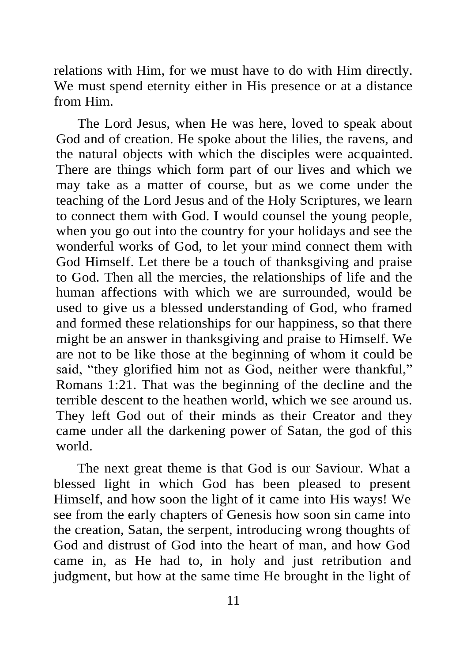relations with Him, for we must have to do with Him directly. We must spend eternity either in His presence or at a distance from Him.

The Lord Jesus, when He was here, loved to speak about God and of creation. He spoke about the lilies, the ravens, and the natural objects with which the disciples were acquainted. There are things which form part of our lives and which we may take as a matter of course, but as we come under the teaching of the Lord Jesus and of the Holy Scriptures, we learn to connect them with God. I would counsel the young people, when you go out into the country for your holidays and see the wonderful works of God, to let your mind connect them with God Himself. Let there be a touch of thanksgiving and praise to God. Then all the mercies, the relationships of life and the human affections with which we are surrounded, would be used to give us a blessed understanding of God, who framed and formed these relationships for our happiness, so that there might be an answer in thanksgiving and praise to Himself. We are not to be like those at the beginning of whom it could be said, "they glorified him not as God, neither were thankful," Romans 1:21. That was the beginning of the decline and the terrible descent to the heathen world, which we see around us. They left God out of their minds as their Creator and they came under all the darkening power of Satan, the god of this world.

The next great theme is that God is our Saviour. What a blessed light in which God has been pleased to present Himself, and how soon the light of it came into His ways! We see from the early chapters of Genesis how soon sin came into the creation, Satan, the serpent, introducing wrong thoughts of God and distrust of God into the heart of man, and how God came in, as He had to, in holy and just retribution and judgment, but how at the same time He brought in the light of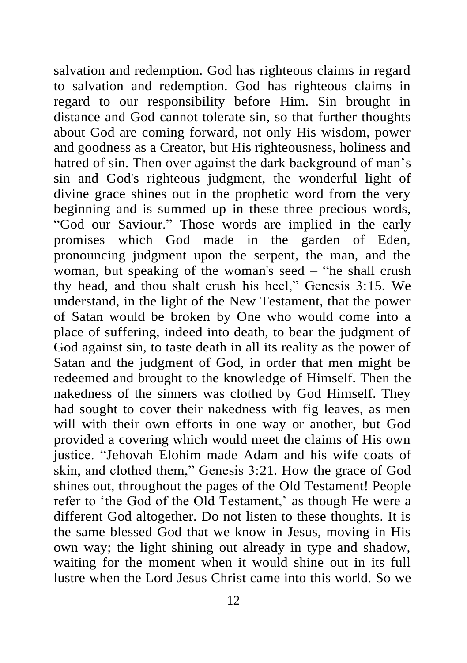salvation and redemption. God has righteous claims in regard to salvation and redemption. God has righteous claims in regard to our responsibility before Him. Sin brought in distance and God cannot tolerate sin, so that further thoughts about God are coming forward, not only His wisdom, power and goodness as a Creator, but His righteousness, holiness and hatred of sin. Then over against the dark background of man's sin and God's righteous judgment, the wonderful light of divine grace shines out in the prophetic word from the very beginning and is summed up in these three precious words, "God our Saviour." Those words are implied in the early promises which God made in the garden of Eden, pronouncing judgment upon the serpent, the man, and the woman, but speaking of the woman's seed – "he shall crush thy head, and thou shalt crush his heel," Genesis 3:15. We understand, in the light of the New Testament, that the power of Satan would be broken by One who would come into a place of suffering, indeed into death, to bear the judgment of God against sin, to taste death in all its reality as the power of Satan and the judgment of God, in order that men might be redeemed and brought to the knowledge of Himself. Then the nakedness of the sinners was clothed by God Himself. They had sought to cover their nakedness with fig leaves, as men will with their own efforts in one way or another, but God provided a covering which would meet the claims of His own justice. "Jehovah Elohim made Adam and his wife coats of skin, and clothed them," Genesis 3:21. How the grace of God shines out, throughout the pages of the Old Testament! People refer to 'the God of the Old Testament,' as though He were a different God altogether. Do not listen to these thoughts. It is the same blessed God that we know in Jesus, moving in His own way; the light shining out already in type and shadow, waiting for the moment when it would shine out in its full lustre when the Lord Jesus Christ came into this world. So we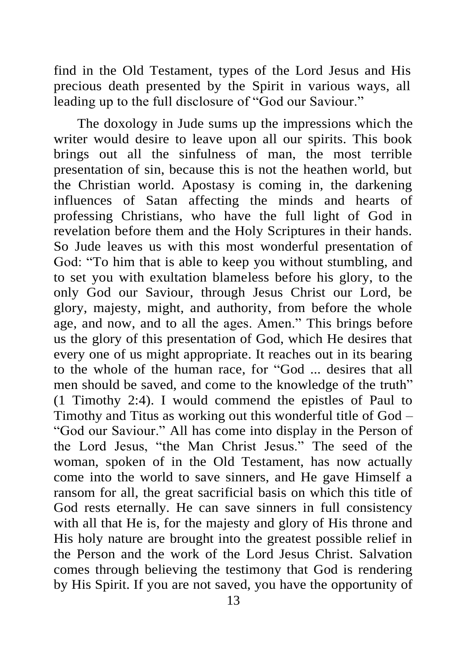find in the Old Testament, types of the Lord Jesus and His precious death presented by the Spirit in various ways, all leading up to the full disclosure of "God our Saviour."

The doxology in Jude sums up the impressions which the writer would desire to leave upon all our spirits. This book brings out all the sinfulness of man, the most terrible presentation of sin, because this is not the heathen world, but the Christian world. Apostasy is coming in, the darkening influences of Satan affecting the minds and hearts of professing Christians, who have the full light of God in revelation before them and the Holy Scriptures in their hands. So Jude leaves us with this most wonderful presentation of God: "To him that is able to keep you without stumbling, and to set you with exultation blameless before his glory, to the only God our Saviour, through Jesus Christ our Lord, be glory, majesty, might, and authority, from before the whole age, and now, and to all the ages. Amen." This brings before us the glory of this presentation of God, which He desires that every one of us might appropriate. It reaches out in its bearing to the whole of the human race, for "God ... desires that all men should be saved, and come to the knowledge of the truth" (1 Timothy 2:4). I would commend the epistles of Paul to Timothy and Titus as working out this wonderful title of God – "God our Saviour." All has come into display in the Person of the Lord Jesus, "the Man Christ Jesus." The seed of the woman, spoken of in the Old Testament, has now actually come into the world to save sinners, and He gave Himself a ransom for all, the great sacrificial basis on which this title of God rests eternally. He can save sinners in full consistency with all that He is, for the majesty and glory of His throne and His holy nature are brought into the greatest possible relief in the Person and the work of the Lord Jesus Christ. Salvation comes through believing the testimony that God is rendering by His Spirit. If you are not saved, you have the opportunity of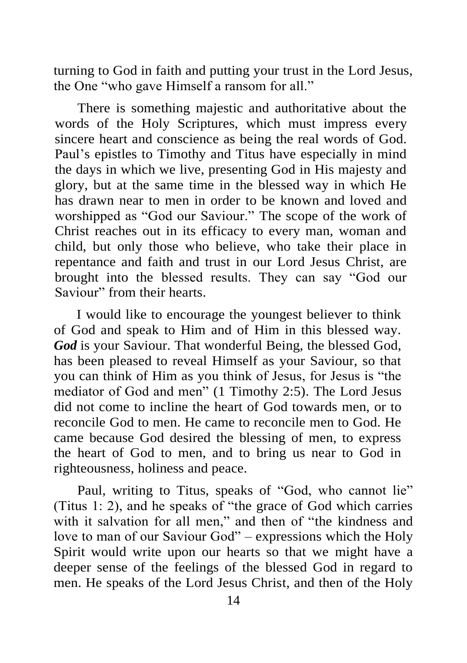turning to God in faith and putting your trust in the Lord Jesus, the One "who gave Himself a ransom for all."

There is something majestic and authoritative about the words of the Holy Scriptures, which must impress every sincere heart and conscience as being the real words of God. Paul's epistles to Timothy and Titus have especially in mind the days in which we live, presenting God in His majesty and glory, but at the same time in the blessed way in which He has drawn near to men in order to be known and loved and worshipped as "God our Saviour." The scope of the work of Christ reaches out in its efficacy to every man, woman and child, but only those who believe, who take their place in repentance and faith and trust in our Lord Jesus Christ, are brought into the blessed results. They can say "God our Saviour" from their hearts.

I would like to encourage the youngest believer to think of God and speak to Him and of Him in this blessed way. *God* is your Saviour. That wonderful Being, the blessed God, has been pleased to reveal Himself as your Saviour, so that you can think of Him as you think of Jesus, for Jesus is "the mediator of God and men" (1 Timothy 2:5). The Lord Jesus did not come to incline the heart of God towards men, or to reconcile God to men. He came to reconcile men to God. He came because God desired the blessing of men, to express the heart of God to men, and to bring us near to God in righteousness, holiness and peace.

Paul, writing to Titus, speaks of "God, who cannot lie" (Titus 1: 2), and he speaks of "the grace of God which carries with it salvation for all men," and then of "the kindness and love to man of our Saviour God" – expressions which the Holy Spirit would write upon our hearts so that we might have a deeper sense of the feelings of the blessed God in regard to men. He speaks of the Lord Jesus Christ, and then of the Holy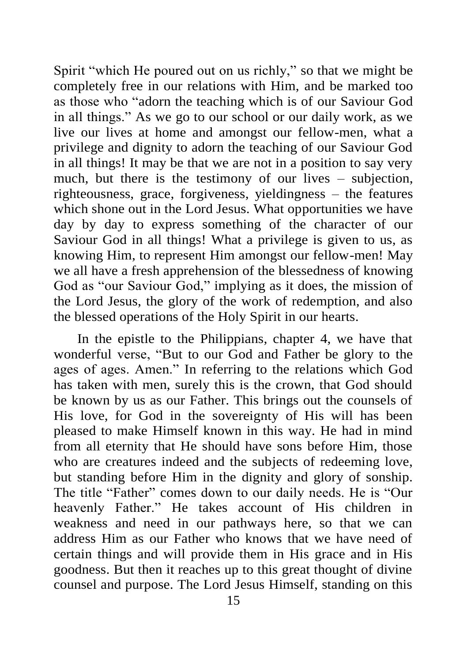Spirit "which He poured out on us richly," so that we might be completely free in our relations with Him, and be marked too as those who "adorn the teaching which is of our Saviour God in all things." As we go to our school or our daily work, as we live our lives at home and amongst our fellow-men, what a privilege and dignity to adorn the teaching of our Saviour God in all things! It may be that we are not in a position to say very much, but there is the testimony of our lives – subjection, righteousness, grace, forgiveness, yieldingness – the features which shone out in the Lord Jesus. What opportunities we have day by day to express something of the character of our Saviour God in all things! What a privilege is given to us, as knowing Him, to represent Him amongst our fellow-men! May we all have a fresh apprehension of the blessedness of knowing God as "our Saviour God," implying as it does, the mission of the Lord Jesus, the glory of the work of redemption, and also the blessed operations of the Holy Spirit in our hearts.

In the epistle to the Philippians, chapter 4, we have that wonderful verse, "But to our God and Father be glory to the ages of ages. Amen." In referring to the relations which God has taken with men, surely this is the crown, that God should be known by us as our Father. This brings out the counsels of His love, for God in the sovereignty of His will has been pleased to make Himself known in this way. He had in mind from all eternity that He should have sons before Him, those who are creatures indeed and the subjects of redeeming love, but standing before Him in the dignity and glory of sonship. The title "Father" comes down to our daily needs. He is "Our heavenly Father." He takes account of His children in weakness and need in our pathways here, so that we can address Him as our Father who knows that we have need of certain things and will provide them in His grace and in His goodness. But then it reaches up to this great thought of divine counsel and purpose. The Lord Jesus Himself, standing on this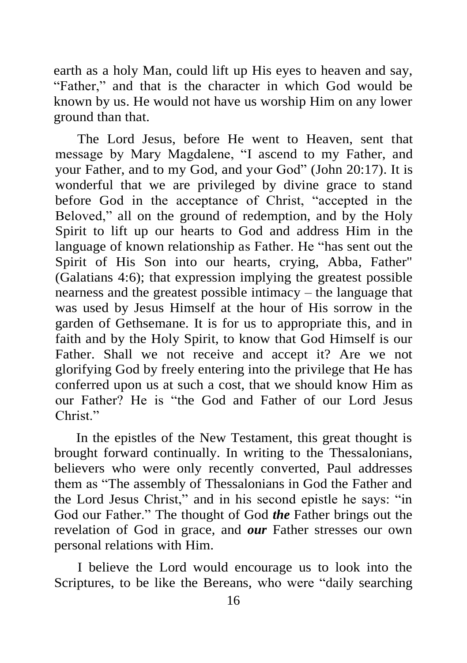earth as a holy Man, could lift up His eyes to heaven and say, "Father," and that is the character in which God would be known by us. He would not have us worship Him on any lower ground than that.

The Lord Jesus, before He went to Heaven, sent that message by Mary Magdalene, "I ascend to my Father, and your Father, and to my God, and your God" (John 20:17). It is wonderful that we are privileged by divine grace to stand before God in the acceptance of Christ, "accepted in the Beloved," all on the ground of redemption, and by the Holy Spirit to lift up our hearts to God and address Him in the language of known relationship as Father. He "has sent out the Spirit of His Son into our hearts, crying, Abba, Father" (Galatians 4:6); that expression implying the greatest possible nearness and the greatest possible intimacy – the language that was used by Jesus Himself at the hour of His sorrow in the garden of Gethsemane. It is for us to appropriate this, and in faith and by the Holy Spirit, to know that God Himself is our Father. Shall we not receive and accept it? Are we not glorifying God by freely entering into the privilege that He has conferred upon us at such a cost, that we should know Him as our Father? He is "the God and Father of our Lord Jesus Christ<sup>"</sup>

In the epistles of the New Testament, this great thought is brought forward continually. In writing to the Thessalonians, believers who were only recently converted, Paul addresses them as "The assembly of Thessalonians in God the Father and the Lord Jesus Christ," and in his second epistle he says: "in God our Father." The thought of God *the* Father brings out the revelation of God in grace, and *our* Father stresses our own personal relations with Him.

I believe the Lord would encourage us to look into the Scriptures, to be like the Bereans, who were "daily searching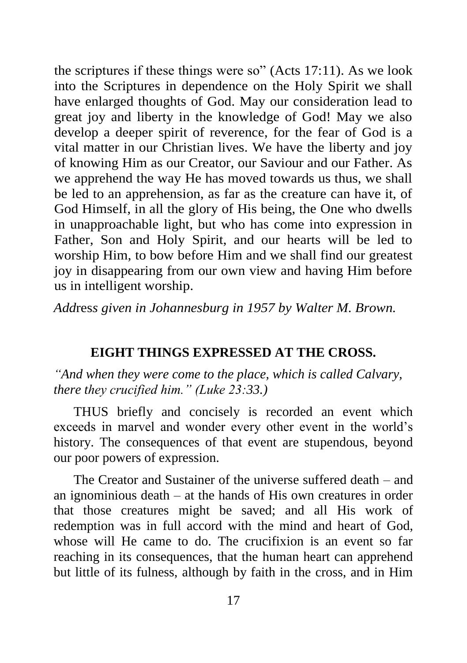the scriptures if these things were so" (Acts 17:11). As we look into the Scriptures in dependence on the Holy Spirit we shall have enlarged thoughts of God. May our consideration lead to great joy and liberty in the knowledge of God! May we also develop a deeper spirit of reverence, for the fear of God is a vital matter in our Christian lives. We have the liberty and joy of knowing Him as our Creator, our Saviour and our Father. As we apprehend the way He has moved towards us thus, we shall be led to an apprehension, as far as the creature can have it, of God Himself, in all the glory of His being, the One who dwells in unapproachable light, but who has come into expression in Father, Son and Holy Spirit, and our hearts will be led to worship Him, to bow before Him and we shall find our greatest joy in disappearing from our own view and having Him before us in intelligent worship.

*Add*res*s given in Johannesburg in 1957 by Walter M. Brown.*

## **EIGHT THINGS EXPRESSED AT THE CROSS.**

*"And when they were come to the place, which is called Calvary, there they crucified him." (Luke 23:33.)*

THUS briefly and concisely is recorded an event which exceeds in marvel and wonder every other event in the world's history. The consequences of that event are stupendous, beyond our poor powers of expression.

The Creator and Sustainer of the universe suffered death – and an ignominious death – at the hands of His own creatures in order that those creatures might be saved; and all His work of redemption was in full accord with the mind and heart of God, whose will He came to do. The crucifixion is an event so far reaching in its consequences, that the human heart can apprehend but little of its fulness, although by faith in the cross, and in Him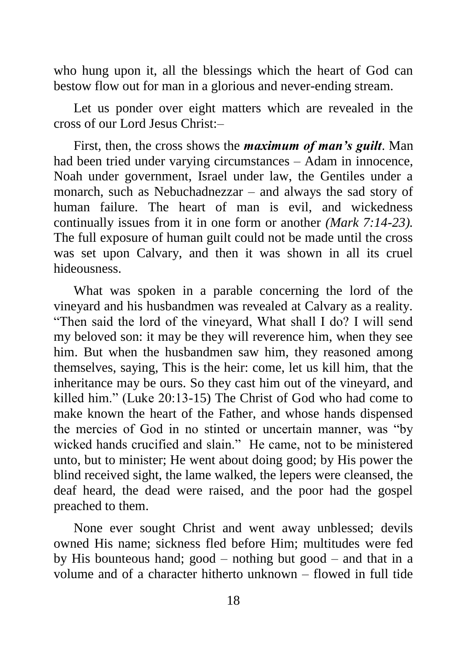who hung upon it, all the blessings which the heart of God can bestow flow out for man in a glorious and never-ending stream.

Let us ponder over eight matters which are revealed in the cross of our Lord Jesus Christ:–

First, then, the cross shows the *maximum of man's guilt*. Man had been tried under varying circumstances – Adam in innocence, Noah under government, Israel under law, the Gentiles under a monarch, such as Nebuchadnezzar – and always the sad story of human failure. The heart of man is evil, and wickedness continually issues from it in one form or another *(Mark 7:14-23).* The full exposure of human guilt could not be made until the cross was set upon Calvary, and then it was shown in all its cruel hideousness.

What was spoken in a parable concerning the lord of the vineyard and his husbandmen was revealed at Calvary as a reality. "Then said the lord of the vineyard, What shall I do? I will send my beloved son: it may be they will reverence him, when they see him. But when the husbandmen saw him, they reasoned among themselves, saying, This is the heir: come, let us kill him, that the inheritance may be ours. So they cast him out of the vineyard, and killed him." (Luke 20:13-15) The Christ of God who had come to make known the heart of the Father, and whose hands dispensed the mercies of God in no stinted or uncertain manner, was "by wicked hands crucified and slain." He came, not to be ministered unto, but to minister; He went about doing good; by His power the blind received sight, the lame walked, the lepers were cleansed, the deaf heard, the dead were raised, and the poor had the gospel preached to them.

None ever sought Christ and went away unblessed; devils owned His name; sickness fled before Him; multitudes were fed by His bounteous hand; good – nothing but good – and that in a volume and of a character hitherto unknown – flowed in full tide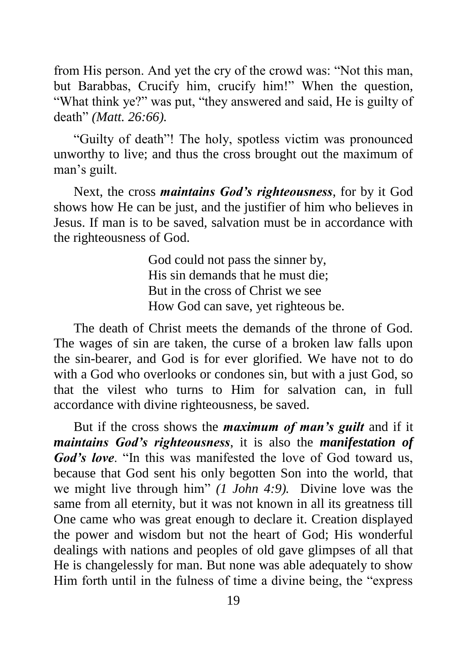from His person. And yet the cry of the crowd was: "Not this man, but Barabbas, Crucify him, crucify him!" When the question, "What think ye?" was put, "they answered and said, He is guilty of death" *(Matt. 26:66).*

"Guilty of death"! The holy, spotless victim was pronounced unworthy to live; and thus the cross brought out the maximum of man's guilt.

Next, the cross *maintains God's righteousness*, for by it God shows how He can be just, and the justifier of him who believes in Jesus. If man is to be saved, salvation must be in accordance with the righteousness of God.

> God could not pass the sinner by, His sin demands that he must die; But in the cross of Christ we see How God can save, yet righteous be.

The death of Christ meets the demands of the throne of God. The wages of sin are taken, the curse of a broken law falls upon the sin-bearer, and God is for ever glorified. We have not to do with a God who overlooks or condones sin, but with a just God, so that the vilest who turns to Him for salvation can, in full accordance with divine righteousness, be saved.

But if the cross shows the *maximum of man's guilt* and if it *maintains God's righteousness*, it is also the *manifestation of God's love*. "In this was manifested the love of God toward us, because that God sent his only begotten Son into the world, that we might live through him" *(1 John 4:9).* Divine love was the same from all eternity, but it was not known in all its greatness till One came who was great enough to declare it. Creation displayed the power and wisdom but not the heart of God; His wonderful dealings with nations and peoples of old gave glimpses of all that He is changelessly for man. But none was able adequately to show Him forth until in the fulness of time a divine being, the "express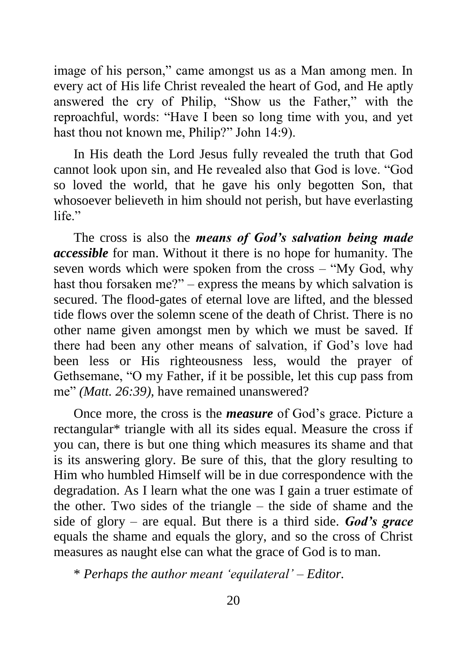image of his person," came amongst us as a Man among men. In every act of His life Christ revealed the heart of God, and He aptly answered the cry of Philip, "Show us the Father," with the reproachful, words: "Have I been so long time with you, and yet hast thou not known me, Philip?" John 14:9).

In His death the Lord Jesus fully revealed the truth that God cannot look upon sin, and He revealed also that God is love. "God so loved the world, that he gave his only begotten Son, that whosoever believeth in him should not perish, but have everlasting life<sup>"</sup>

The cross is also the *means of God's salvation being made accessible* for man. Without it there is no hope for humanity. The seven words which were spoken from the cross – "My God, why hast thou forsaken me?" – express the means by which salvation is secured. The flood-gates of eternal love are lifted, and the blessed tide flows over the solemn scene of the death of Christ. There is no other name given amongst men by which we must be saved. If there had been any other means of salvation, if God's love had been less or His righteousness less, would the prayer of Gethsemane, "O my Father, if it be possible, let this cup pass from me" *(Matt. 26:39),* have remained unanswered?

Once more, the cross is the *measure* of God's grace. Picture a rectangular\* triangle with all its sides equal. Measure the cross if you can, there is but one thing which measures its shame and that is its answering glory. Be sure of this, that the glory resulting to Him who humbled Himself will be in due correspondence with the degradation. As I learn what the one was I gain a truer estimate of the other. Two sides of the triangle – the side of shame and the side of glory – are equal. But there is a third side. *God's grace* equals the shame and equals the glory, and so the cross of Christ measures as naught else can what the grace of God is to man.

\* *Perhaps the author meant 'equilateral' – Editor.*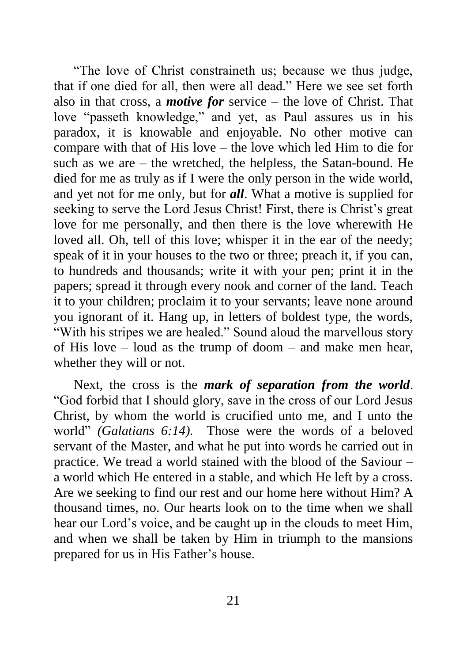"The love of Christ constraineth us; because we thus judge, that if one died for all, then were all dead." Here we see set forth also in that cross, a *motive for* service – the love of Christ. That love "passeth knowledge," and yet, as Paul assures us in his paradox, it is knowable and enjoyable. No other motive can compare with that of His love – the love which led Him to die for such as we are – the wretched, the helpless, the Satan-bound. He died for me as truly as if I were the only person in the wide world, and yet not for me only, but for *all*. What a motive is supplied for seeking to serve the Lord Jesus Christ! First, there is Christ's great love for me personally, and then there is the love wherewith He loved all. Oh, tell of this love; whisper it in the ear of the needy; speak of it in your houses to the two or three; preach it, if you can, to hundreds and thousands; write it with your pen; print it in the papers; spread it through every nook and corner of the land. Teach it to your children; proclaim it to your servants; leave none around you ignorant of it. Hang up, in letters of boldest type, the words, "With his stripes we are healed." Sound aloud the marvellous story of His love – loud as the trump of doom – and make men hear, whether they will or not.

Next, the cross is the *mark of separation from the world*. "God forbid that I should glory, save in the cross of our Lord Jesus Christ, by whom the world is crucified unto me, and I unto the world" *(Galatians 6:14).* Those were the words of a beloved servant of the Master, and what he put into words he carried out in practice. We tread a world stained with the blood of the Saviour – a world which He entered in a stable, and which He left by a cross. Are we seeking to find our rest and our home here without Him? A thousand times, no. Our hearts look on to the time when we shall hear our Lord's voice, and be caught up in the clouds to meet Him, and when we shall be taken by Him in triumph to the mansions prepared for us in His Father's house.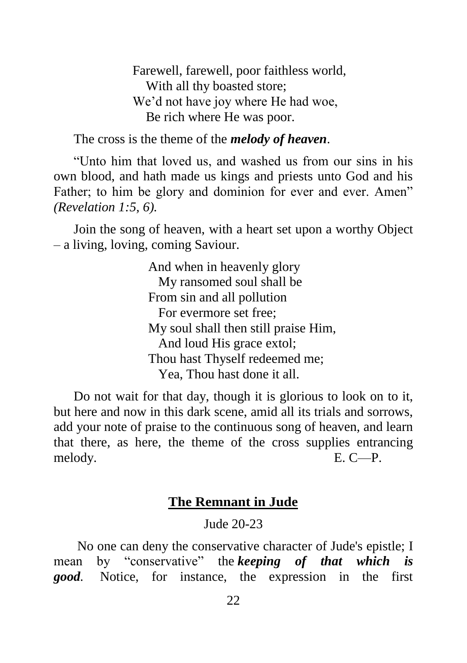Farewell, farewell, poor faithless world, With all thy boasted store; We'd not have joy where He had woe, Be rich where He was poor.

The cross is the theme of the *melody of heaven*.

"Unto him that loved us, and washed us from our sins in his own blood, and hath made us kings and priests unto God and his Father; to him be glory and dominion for ever and ever. Amen" *(Revelation 1:5, 6).*

Join the song of heaven, with a heart set upon a worthy Object – a living, loving, coming Saviour.

> And when in heavenly glory My ransomed soul shall be From sin and all pollution For evermore set free; My soul shall then still praise Him, And loud His grace extol; Thou hast Thyself redeemed me; Yea, Thou hast done it all.

Do not wait for that day, though it is glorious to look on to it, but here and now in this dark scene, amid all its trials and sorrows, add your note of praise to the continuous song of heaven, and learn that there, as here, the theme of the cross supplies entrancing melody. E. C—P.

## **The Remnant in Jude**

Jude 20-23

No one can deny the conservative character of Jude's epistle; I mean by "conservative" the *keeping of that which is good.* Notice, for instance, the expression in the first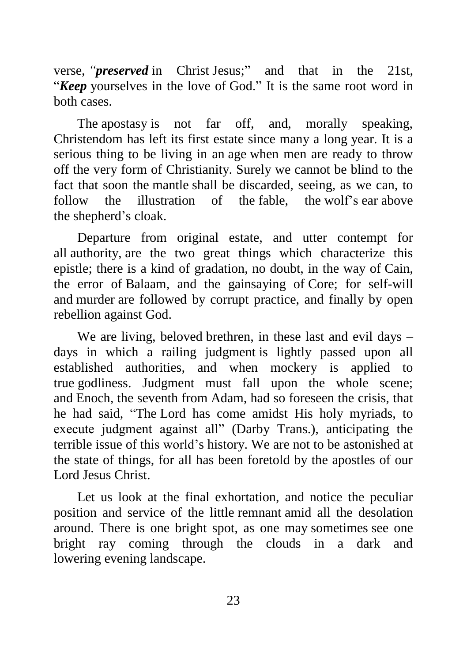verse, *"preserved* in Christ [Jesus;](http://bibletruthpublishers.com/jesus/ljm2424)" and that in the 21st, "*Keep* yourselves in the love of [God.](http://bibletruthpublishers.com/god/ljm20948)" It is the same root word in both cases.

The [apostasy](http://bibletruthpublishers.com/apostasy/ljm20119) is not far off, and, morally speaking, Christendom has left its first estate since many a long [year.](http://bibletruthpublishers.com/year/ljm22511) It is a serious thing to be living in an [age](http://bibletruthpublishers.com/age/ljm20042) when men are ready to throw off the very form of Christianity. Surely we cannot be blind to the fact that soon the [mantle](http://bibletruthpublishers.com/mantle/ljm21516) shall be discarded, seeing, as we can, to follow the illustration of the fable the [wolf](http://bibletruthpublishers.com/wolf/ljm22495)'s [ear](http://bibletruthpublishers.com/ear/ljm20660) above the [shepherd'](http://bibletruthpublishers.com/shepherd/ljm22124)s [cloak.](http://bibletruthpublishers.com/cloak/ljm20485)

Departure from original estate, and utter contempt for all [authority,](http://bibletruthpublishers.com/authority/ljm20191) are the two great things which characterize this epistle; there is a kind of gradation, no doubt, in the way of [Cain,](http://bibletruthpublishers.com/cain/ljm20377) the error of [Balaam,](http://bibletruthpublishers.com/balaam/ljm903) and the gainsaying of [Core;](http://bibletruthpublishers.com/core/ljm20524) for self-will and [murder](http://bibletruthpublishers.com/murder/ljm21638) are followed by corrupt practice, and finally by open rebellion against God.

We are living, beloved [brethren,](http://bibletruthpublishers.com/brethren/ljm20351) in these last and evil days – days in which a railing [judgment](http://bibletruthpublishers.com/judgment/ljm21351) is lightly passed upon all established authorities, and when mockery is applied to true [godliness.](http://bibletruthpublishers.com/godliness/ljm20953) Judgment must fall upon the whole scene; and [Enoch,](http://bibletruthpublishers.com/enoch/ljm20723) the seventh from [Adam,](http://bibletruthpublishers.com/adam/ljm76) had so foreseen the crisis, that he had said, "The [Lord](http://bibletruthpublishers.com/lord/ljm21463) has come amidst His holy myriads, to execute judgment against all" (Darby Trans.), anticipating the terrible issue of this world's history. We are not to be astonished at the state of things, for all has been foretold by the apostles of our Lord Jesus Christ.

Let us look at the final exhortation, and notice the peculiar position and service of the little [remnant](http://bibletruthpublishers.com/remnant/ljm21954) amid all the desolation around. There is one bright spot, as one may [sometimes](http://bibletruthpublishers.com/sometime-sometimes/ljm22223) see one bright ray coming through the clouds in a dark and lowering [evening](http://bibletruthpublishers.com/evening/ljm20768) landscape.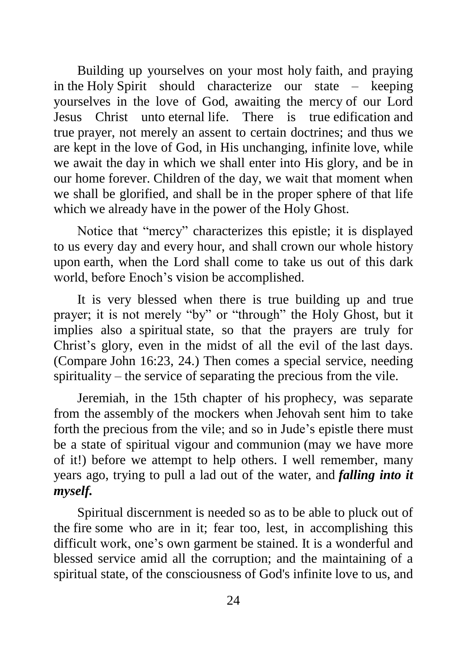Building up yourselves on your most holy [faith,](http://bibletruthpublishers.com/faith/ljm20789) and praying in [the](http://bibletruthpublishers.com/the-holy-spirit/ljm22248) [Holy](http://bibletruthpublishers.com/the-holy-spirit/ljm22248) [Spirit](http://bibletruthpublishers.com/soul-spirit/ljm22234) should characterize our state – keeping yourselves in the love of God, awaiting the [mercy](http://bibletruthpublishers.com/mercy/ljm21564) of our Lord Jesus Christ unto [eternal](http://bibletruthpublishers.com/eternal/ljm20756) [life.](http://bibletruthpublishers.com/life/ljm21443) There is true [edification](http://bibletruthpublishers.com/edification/ljm20678) and true [prayer,](http://bibletruthpublishers.com/prayer/ljm21859) not merely an assent to certain doctrines; and thus we are kept in the love of God, in His unchanging, [infinite](http://bibletruthpublishers.com/infinite/ljm21165) love, while we await the [day](http://bibletruthpublishers.com/day/ljm20584) in which we shall enter into His [glory,](http://bibletruthpublishers.com/glory/ljm20941) and be in our home [forever.](http://bibletruthpublishers.com/forever/ljm20838) [Children](http://bibletruthpublishers.com/children/ljm20464) of the day, we wait that moment when we shall be glorified, and shall be in the proper sphere of that life which we already have in the [power](http://bibletruthpublishers.com/power/ljm21856) of the [Holy](http://bibletruthpublishers.com/holy-ghost-holy-spirit/ljm21115) [Ghost.](http://bibletruthpublishers.com/holy-ghost-holy-spirit/ljm21115)

Notice that "mercy" characterizes this epistle; it is displayed to us every day and every [hour,](http://bibletruthpublishers.com/hour/ljm21132) and shall [crown](http://bibletruthpublishers.com/crown/ljm20549) our whole history upon [earth,](http://bibletruthpublishers.com/earth/ljm20664) when the Lord shall come to take us out of this dark world, before Enoch's vision be accomplished.

It is very blessed when there is true building up and true prayer; it is not merely "by" or "through" the Holy Ghost, but it implies also a [spiritual](http://bibletruthpublishers.com/spiritual/ljm4152) state, so that the prayers are truly for Christ's glory, even in the midst of all the evil of the [last days.](http://bibletruthpublishers.com/last-time-last-days/ljm21410) (Compare [John 16:23, 24.](http://bibletruthpublishers.com/lbc1013KJV#v23)) Then comes a special service, needing spirituality – the service of separating the precious from the vile.

[Jeremiah,](http://bibletruthpublishers.com/jeremiah/ljm21269) in the 15th chapter of his [prophecy,](http://bibletruthpublishers.com/prophecy-prophet/ljm21875) was separate from the [assembly](http://bibletruthpublishers.com/assembly/ljm20171) of the mockers when [Jehovah](http://bibletruthpublishers.com/jehovah/ljm21261) sent him to take forth the precious from the vile; and so in Jude's epistle there must be a state of spiritual vigour and [communion](http://bibletruthpublishers.com/communion/ljm20503) (may we have more of it!) before we attempt to help others. I well remember, many years ago, trying to pull a lad out of the water, and *falling into it myself.*

Spiritual discernment is needed so as to be able to pluck out of the [fire](http://bibletruthpublishers.com/fire/ljm20814) some who are in it; fear too, lest, in accomplishing this difficult work, one's own garment be stained. It is a wonderful and blessed service amid all the corruption; and the maintaining of a spiritual state, of the consciousness of God's infinite love to us, and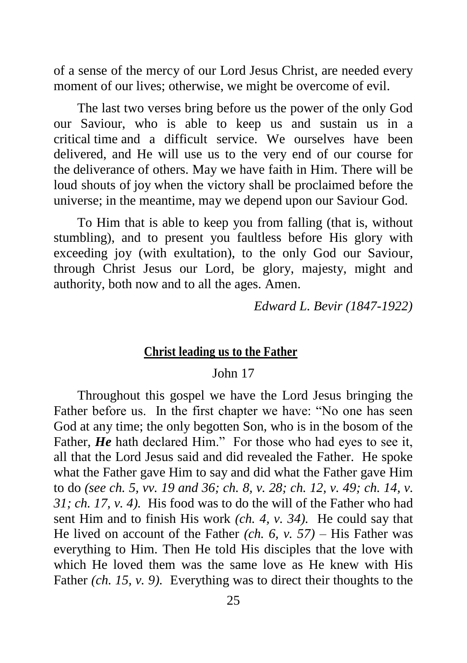of a sense of the mercy of our Lord Jesus Christ, are needed every moment of our lives; otherwise, we might be overcome of evil.

The last two verses bring before us the power of the only God our Saviour, who is able to keep us and sustain us in a critical [time](http://bibletruthpublishers.com/time-times/ljm22366) and a difficult service. We ourselves have been delivered, and He will use us to the very end of our course for the [deliverance](http://bibletruthpublishers.com/deliverance/ljm20603) of others. May we have faith in Him. There will be loud shouts of [joy](http://bibletruthpublishers.com/joy/ljm21339) when the victory shall be proclaimed before the universe; in the meantime, may we depend upon our Saviour God.

To Him that is able to keep you from falling (that is, without stumbling), and to present you faultless before His glory with exceeding joy (with exultation), to the only God our Saviour, through Christ Jesus our Lord, be glory, majesty, might and authority, both now and to all the ages. [Amen.](http://bibletruthpublishers.com/amen/ljm20090)

*Edward L. Bevir (1847-1922)*

#### **Christ leading us to the Father**

#### John 17

Throughout this gospel we have the Lord Jesus bringing the Father before us. In the first chapter we have: "No one has seen God at any time; the only begotten Son, who is in the bosom of the Father, *He* hath declared Him." For those who had eyes to see it, all that the Lord Jesus said and did revealed the Father. He spoke what the Father gave Him to say and did what the Father gave Him to do *(see ch. 5, vv. 19 and 36; ch. 8, v. 28; ch. 12, v. 49; ch. 14, v. 31; ch. 17, v. 4).* His food was to do the will of the Father who had sent Him and to finish His work *(ch. 4, v. 34).* He could say that He lived on account of the Father *(ch. 6, v. 57)* – His Father was everything to Him. Then He told His disciples that the love with which He loved them was the same love as He knew with His Father *(ch. 15, v. 9).* Everything was to direct their thoughts to the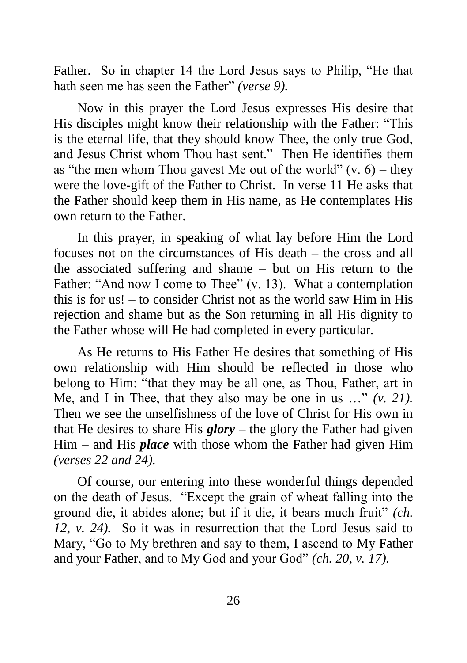Father. So in chapter 14 the Lord Jesus says to Philip, "He that hath seen me has seen the Father" *(verse 9).*

Now in this prayer the Lord Jesus expresses His desire that His disciples might know their relationship with the Father: "This is the eternal life, that they should know Thee, the only true God, and Jesus Christ whom Thou hast sent." Then He identifies them as "the men whom Thou gavest Me out of the world"  $(v, 6)$  – they were the love-gift of the Father to Christ. In verse 11 He asks that the Father should keep them in His name, as He contemplates His own return to the Father.

In this prayer, in speaking of what lay before Him the Lord focuses not on the circumstances of His death – the cross and all the associated suffering and shame – but on His return to the Father: "And now I come to Thee" (v. 13). What a contemplation this is for us! – to consider Christ not as the world saw Him in His rejection and shame but as the Son returning in all His dignity to the Father whose will He had completed in every particular.

As He returns to His Father He desires that something of His own relationship with Him should be reflected in those who belong to Him: "that they may be all one, as Thou, Father, art in Me, and I in Thee, that they also may be one in us …" *(v. 21).* Then we see the unselfishness of the love of Christ for His own in that He desires to share His *glory* – the glory the Father had given Him – and His *place* with those whom the Father had given Him *(verses 22 and 24).*

Of course, our entering into these wonderful things depended on the death of Jesus. "Except the grain of wheat falling into the ground die, it abides alone; but if it die, it bears much fruit" *(ch. 12, v. 24).* So it was in resurrection that the Lord Jesus said to Mary, "Go to My brethren and say to them, I ascend to My Father and your Father, and to My God and your God" *(ch. 20, v. 17).*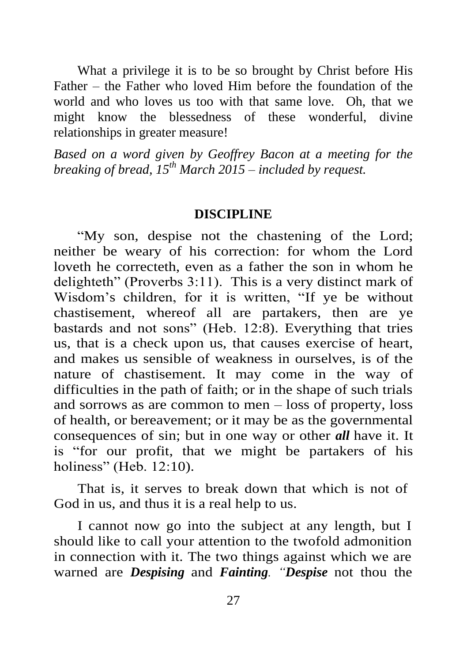What a privilege it is to be so brought by Christ before His Father – the Father who loved Him before the foundation of the world and who loves us too with that same love. Oh, that we might know the blessedness of these wonderful, divine relationships in greater measure!

*Based on a word given by Geoffrey Bacon at a meeting for the breaking of bread, 15th March 2015 – included by request.*

#### **DISCIPLINE**

"My son, despise not the chastening of the Lord; neither be weary of his correction: for whom the Lord loveth he correcteth, even as a father the son in whom he delighteth" (Proverbs 3:11). This is a very distinct mark of Wisdom's children, for it is written, "If ye be without chastisement, whereof all are partakers, then are ye bastards and not sons" (Heb. 12:8). Everything that tries us, that is a check upon us, that causes exercise of heart, and makes us sensible of weakness in ourselves, is of the nature of chastisement. It may come in the way of difficulties in the path of faith; or in the shape of such trials and sorrows as are common to men – loss of property, loss of health, or bereavement; or it may be as the governmental consequences of sin; but in one way or other *all* have it. It is "for our profit, that we might be partakers of his holiness" (Heb. 12:10).

That is, it serves to break down that which is not of God in us, and thus it is a real help to us.

I cannot now go into the subject at any length, but I should like to call your attention to the twofold admonition in connection with it. The two things against which we are warned are *Despising* and *Fainting. "Despise* not thou the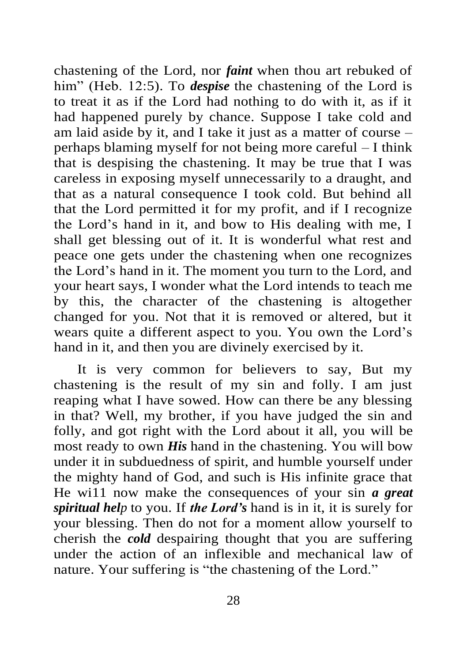chastening of the Lord, nor *faint* when thou art rebuked of him" (Heb. 12:5). To *despise* the chastening of the Lord is to treat it as if the Lord had nothing to do with it, as if it had happened purely by chance. Suppose I take cold and am laid aside by it, and I take it just as a matter of course – perhaps blaming myself for not being more careful – I think that is despising the chastening. It may be true that I was careless in exposing myself unnecessarily to a draught, and that as a natural consequence I took cold. But behind all that the Lord permitted it for my profit, and if I recognize the Lord's hand in it, and bow to His dealing with me, I shall get blessing out of it. It is wonderful what rest and peace one gets under the chastening when one recognizes the Lord's hand in it. The moment you turn to the Lord, and your heart says, I wonder what the Lord intends to teach me by this, the character of the chastening is altogether changed for you. Not that it is removed or altered, but it wears quite a different aspect to you. You own the Lord's hand in it, and then you are divinely exercised by it.

It is very common for believers to say, But my chastening is the result of my sin and folly. I am just reaping what I have sowed. How can there be any blessing in that? Well, my brother, if you have judged the sin and folly, and got right with the Lord about it all, you will be most ready to own *His* hand in the chastening. You will bow under it in subduedness of spirit, and humble yourself under the mighty hand of God, and such is His infinite grace that He wi11 now make the consequences of your sin *a great spiritual help* to you. If *the Lord's* hand is in it, it is surely for your blessing. Then do not for a moment allow yourself to cherish the *cold* despairing thought that you are suffering under the action of an inflexible and mechanical law of nature. Your suffering is "the chastening of the Lord."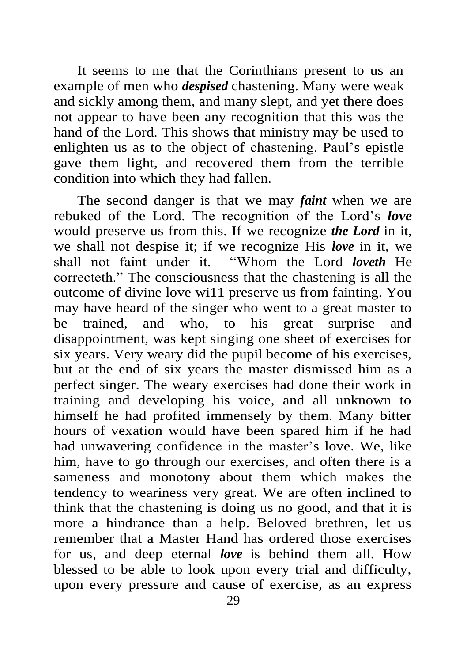It seems to me that the Corinthians present to us an example of men who *despised* chastening. Many were weak and sickly among them, and many slept, and yet there does not appear to have been any recognition that this was the hand of the Lord. This shows that ministry may be used to enlighten us as to the object of chastening. Paul's epistle gave them light, and recovered them from the terrible condition into which they had fallen.

The second danger is that we may *faint* when we are rebuked of the Lord. The recognition of the Lord's *love* would preserve us from this. If we recognize *the Lord* in it, we shall not despise it; if we recognize His *love* in it, we shall not faint under it. "Whom the Lord *loveth* He correcteth." The consciousness that the chastening is all the outcome of divine love wi11 preserve us from fainting. You may have heard of the singer who went to a great master to be trained, and who, to his great surprise and disappointment, was kept singing one sheet of exercises for six years. Very weary did the pupil become of his exercises, but at the end of six years the master dismissed him as a perfect singer. The weary exercises had done their work in training and developing his voice, and all unknown to himself he had profited immensely by them. Many bitter hours of vexation would have been spared him if he had had unwavering confidence in the master's love. We, like him, have to go through our exercises, and often there is a sameness and monotony about them which makes the tendency to weariness very great. We are often inclined to think that the chastening is doing us no good, and that it is more a hindrance than a help. Beloved brethren, let us remember that a Master Hand has ordered those exercises for us, and deep eternal *love* is behind them all. How blessed to be able to look upon every trial and difficulty, upon every pressure and cause of exercise, as an express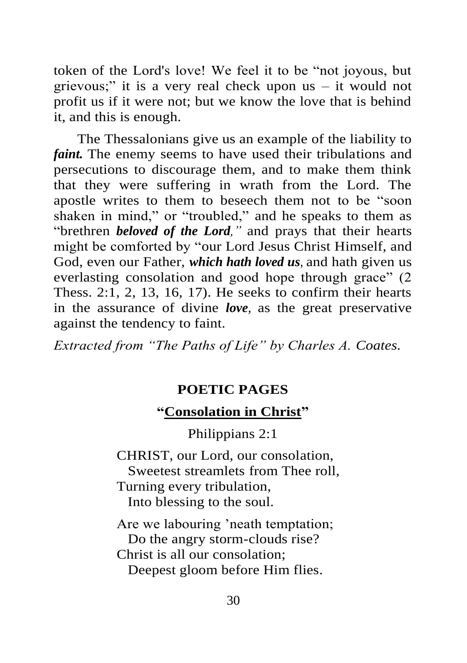token of the Lord's love! We feel it to be "not joyous, but grievous;" it is a very real check upon us – it would not profit us if it were not; but we know the love that is behind it, and this is enough.

The Thessalonians give us an example of the liability to *faint.* The enemy seems to have used their tribulations and persecutions to discourage them, and to make them think that they were suffering in wrath from the Lord. The apostle writes to them to beseech them not to be "soon shaken in mind," or "troubled," and he speaks to them as "brethren *beloved of the Lord,"* and prays that their hearts might be comforted by "our Lord Jesus Christ Himself, and God, even our Father, *which hath loved us,* and hath given us everlasting consolation and good hope through grace" (2 Thess. 2:1, 2, 13, 16, 17). He seeks to confirm their hearts in the assurance of divine *love,* as the great preservative against the tendency to faint.

*Extracted from "The Paths of Life" by Charles A. Coates.*

## **POETIC PAGES**

## **"Consolation in Christ"**

Philippians 2:1

CHRIST, our Lord, our consolation, Sweetest streamlets from Thee roll, Turning every tribulation, Into blessing to the soul.

Are we labouring 'neath temptation; Do the angry storm-clouds rise? Christ is all our consolation; Deepest gloom before Him flies.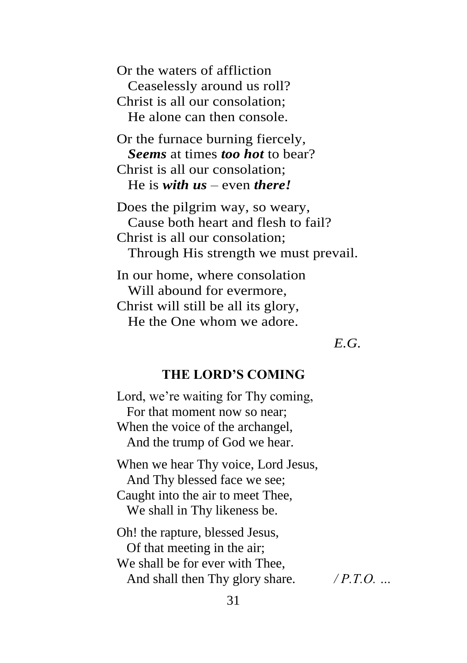Or the waters of affliction Ceaselessly around us roll? Christ is all our consolation; He alone can then console.

Or the furnace burning fiercely, *Seems* at times *too hot* to bear? Christ is all our consolation; He is *with us* – even *there!*

Does the pilgrim way, so weary, Cause both heart and flesh to fail? Christ is all our consolation; Through His strength we must prevail.

In our home, where consolation Will abound for evermore, Christ will still be all its glory, He the One whom we adore.

*E.G.*

#### **THE LORD'S COMING**

Lord, we're waiting for Thy coming, For that moment now so near; When the voice of the archangel, And the trump of God we hear.

When we hear Thy voice, Lord Jesus, And Thy blessed face we see; Caught into the air to meet Thee, We shall in Thy likeness be.

Oh! the rapture, blessed Jesus, Of that meeting in the air; We shall be for ever with Thee, And shall then Thy glory share. */ P.T.O. …*